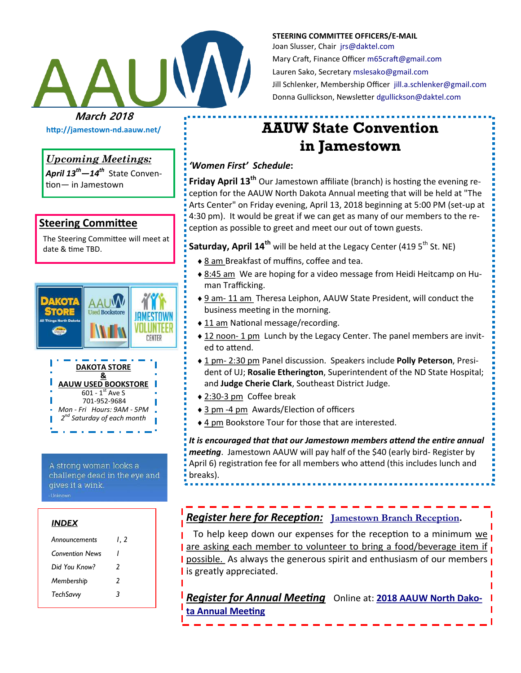

**STEERING COMMITTEE OFFICERS/E-MAIL** Joan Slusser, Chair [jrs@daktel.com](mailto:jrs@daktel.com) Mary Craft, Finance Officer [m65craft@gmail.com](mailto:m65craft@gmail.com) Lauren Sako, Secretary [mslesako@gmail.com](mailto:mslesako@gmail.com) Jill Schlenker, Membership Officer [jill.a.schlenker@gmail.com](mailto:jill.a.schlenker@gmail.com) Donna Gullickson, Newsletter [dgullickson@daktel.com](mailto:dgullickson@daktel.com)

# **AAUW State Convention in Jamestown**

## *'Women First' Schedule***:**

**Friday April 13th** Our Jamestown affiliate (branch) is hosting the evening reception for the AAUW North Dakota Annual meeting that will be held at "The Arts Center" on Friday evening, April 13, 2018 beginning at 5:00 PM (set-up at 4:30 pm). It would be great if we can get as many of our members to the reception as possible to greet and meet our out of town guests.

**Saturday, April 14<sup>th</sup> will be held at the Legacy Center (419 5<sup>th</sup> St. NE)** 

- ◆ 8 am Breakfast of muffins, coffee and tea.
- ◆ 8:45 am We are hoping for a video message from Heidi Heitcamp on Human Trafficking.
- ◆ 9 am- 11 am Theresa Leiphon, AAUW State President, will conduct the business meeting in the morning.
- ◆ 11 am National message/recording.
- ◆ 12 noon- 1 pm Lunch by the Legacy Center. The panel members are invited to attend.
- 1 pm- 2:30 pm Panel discussion. Speakers include **Polly Peterson**, President of UJ; **Rosalie Etherington**, Superintendent of the ND State Hospital; and **Judge Cherie Clark**, Southeast District Judge.
- 2:30-3 pm Coffee break
- 3 pm -4 pm Awards/Election of officers
- 4 pm Bookstore Tour for those that are interested.

*It is encouraged that that our Jamestown members attend the entire annual meeting*. Jamestown AAUW will pay half of the \$40 (early bird- Register by April 6) registration fee for all members who attend (this includes lunch and breaks).

*Register here for Reception:* **[Jamestown Branch Reception](https://docs.google.com/forms/d/e/1FAIpQLSefh73AxXM5tkh6cocp4Iz4LGxPpbRCOxLANxh5kizuAVWqOg/viewform?usp=sf_link).** 

To help keep down our expenses for the reception to a minimum we **are asking each member to volunteer to bring a food/beverage item if I** possible. As always the generous spirit and enthusiasm of our members **I I** is greatly appreciated.

*Register for Annual Meeting* Online at: **[2018 AAUW North Dako](https://goo.gl/forms/6XTSQ4tdc7IES6h63)[ta Annual Meeting](https://goo.gl/forms/6XTSQ4tdc7IES6h63)**

*Upcoming Meetings:*

*April 13th—14th* State Convention— in Jamestown

**http://jamestown-nd.aauw.net/** 

### **Steering Committee**

The Steering Committee will meet at date & time TBD.



A strong woman looks a challenge dead in the eye and gives it a wink.

#### *INDEX*

| Announcements          | I. 2 |
|------------------------|------|
| <b>Convention News</b> | ı    |
| Did You Know?          | 2    |
| Membership             | 2    |
| TechSavvy              | 3    |
|                        |      |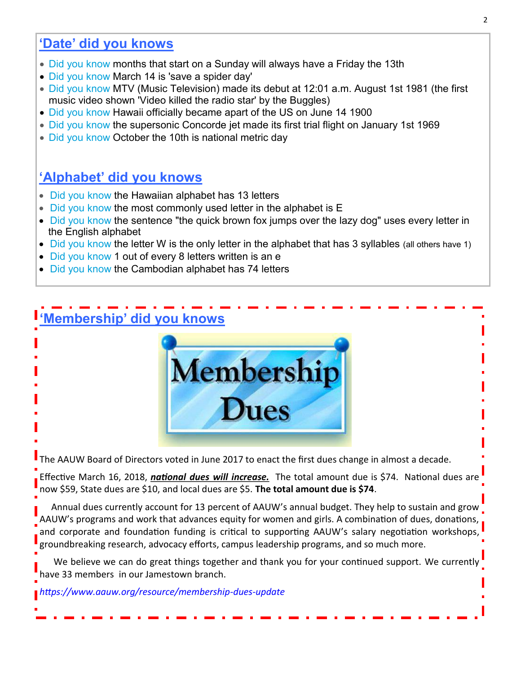## **'Date' did you knows**

- Did you know months that start on a Sunday will always have a Friday the 13th
- Did you know March 14 is 'save a spider day'
- Did you know MTV (Music Television) made its debut at 12:01 a.m. August 1st 1981 (the first music video shown 'Video killed the radio star' by the Buggles)
- Did you know Hawaii officially became apart of the US on June 14 1900
- Did you know the supersonic Concorde jet made its first trial flight on January 1st 1969
- Did you know October the 10th is national metric day

## **'Alphabet' did you knows**

- Did you know the Hawaiian alphabet has 13 letters
- Did you know the most commonly used letter in the alphabet is E
- Did you know the sentence "the quick brown fox jumps over the lazy dog" uses every letter in the English alphabet
- Did you know the letter W is the only letter in the alphabet that has 3 syllables (all others have 1)
- Did you know 1 out of every 8 letters written is an e
- Did you know the Cambodian alphabet has 74 letters

## **'Membership' did you knows**



The AAUW Board of Directors voted in June 2017 to enact the first dues change in almost a decade.

Effective March 16, 2018, *national dues will increase.* The total amount due is \$74. National dues are now \$59, State dues are \$10, and local dues are \$5. **The total amount due is \$74**.

 Annual dues currently account for 13 percent of AAUW's annual budget. They help to sustain and grow AAUW's programs and work that advances equity for women and girls. A combination of dues, donations, and corporate and foundation funding is critical to supporting AAUW's [salary negotiation workshops,](https://www.aauw.org/what-we-do/salary-negotiation-workshops/)  groundbreaking [research,](https://www.aauw.org/what-we-do/research/) [advocacy](https://www.aauw.org/issues/advocacy/) efforts, [campus leadership programs,](https://www.aauw.org/what-we-do/campus-programs/) and so much more.

We believe we can do great things together and thank you for your continued support. We currently have 33 members in our Jamestown branch.

*https://www.aauw.org/resource/membership-dues-update*